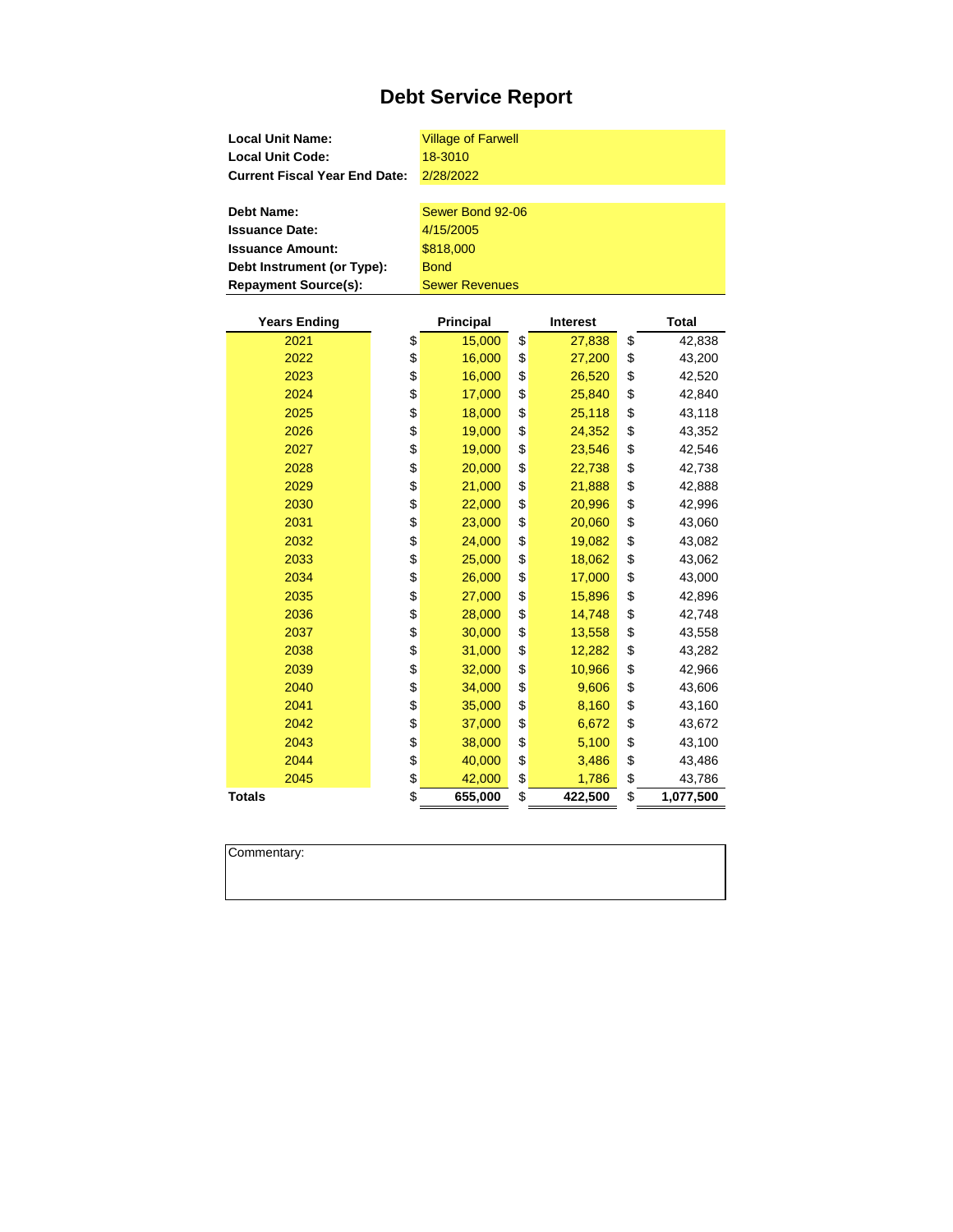| <b>Local Unit Name:</b><br><b>Local Unit Code:</b><br><b>Current Fiscal Year End Date:</b> |    | <b>Village of Farwell</b><br>18-3010<br>2/28/2022 |    |                 |    |              |  |  |  |
|--------------------------------------------------------------------------------------------|----|---------------------------------------------------|----|-----------------|----|--------------|--|--|--|
|                                                                                            |    |                                                   |    |                 |    |              |  |  |  |
| <b>Debt Name:</b>                                                                          |    | Sewer Bond 92-06                                  |    |                 |    |              |  |  |  |
| <b>Issuance Date:</b>                                                                      |    | 4/15/2005                                         |    |                 |    |              |  |  |  |
| <b>Issuance Amount:</b>                                                                    |    | \$818,000                                         |    |                 |    |              |  |  |  |
| Debt Instrument (or Type):                                                                 |    | <b>Bond</b>                                       |    |                 |    |              |  |  |  |
| <b>Repayment Source(s):</b>                                                                |    | <b>Sewer Revenues</b>                             |    |                 |    |              |  |  |  |
|                                                                                            |    |                                                   |    |                 |    |              |  |  |  |
| <b>Years Ending</b>                                                                        |    | <b>Principal</b>                                  |    | <b>Interest</b> |    | <b>Total</b> |  |  |  |
| 2021                                                                                       | \$ | 15,000                                            | \$ | 27,838          | \$ | 42,838       |  |  |  |
| 2022                                                                                       | \$ | 16,000                                            | \$ | 27,200          | \$ | 43,200       |  |  |  |
| 2023                                                                                       | \$ | 16,000                                            | \$ | 26,520          | \$ | 42,520       |  |  |  |
| 2024                                                                                       | \$ | 17,000                                            | \$ | 25,840          | \$ | 42,840       |  |  |  |
| 2025                                                                                       | \$ | 18,000                                            | \$ | 25,118          | \$ | 43,118       |  |  |  |
| 2026                                                                                       | \$ | 19,000                                            | \$ | 24,352          | \$ | 43,352       |  |  |  |
| 2027                                                                                       | \$ | 19,000                                            | \$ | 23,546          | \$ | 42,546       |  |  |  |
| 2028                                                                                       | \$ | 20,000                                            | \$ | 22,738          | \$ | 42,738       |  |  |  |
| 2029                                                                                       | \$ | 21,000                                            | \$ | 21,888          | \$ | 42,888       |  |  |  |
| 2030                                                                                       | \$ | 22,000                                            | \$ | 20,996          | \$ | 42,996       |  |  |  |
| 2031                                                                                       | \$ | 23,000                                            | \$ | 20,060          | \$ | 43,060       |  |  |  |
| 2032                                                                                       | \$ | 24,000                                            | \$ | 19,082          | \$ | 43,082       |  |  |  |
| 2033                                                                                       | \$ | 25,000                                            | \$ | 18,062          | \$ | 43,062       |  |  |  |
| 2034                                                                                       | \$ | 26,000                                            | \$ | 17,000          | \$ | 43,000       |  |  |  |
| 2035                                                                                       | \$ | 27,000                                            | \$ | 15,896          | \$ | 42,896       |  |  |  |
| 2036                                                                                       | \$ | 28,000                                            | \$ | 14,748          | \$ | 42,748       |  |  |  |
| 2037                                                                                       | \$ | 30,000                                            | \$ | 13,558          | \$ | 43,558       |  |  |  |
| 2038                                                                                       | \$ | 31,000                                            | \$ | 12,282          | \$ | 43,282       |  |  |  |
| 2039                                                                                       | \$ | 32,000                                            | \$ | 10,966          | \$ | 42,966       |  |  |  |
| 2040                                                                                       | \$ | 34,000                                            | \$ | 9,606           | \$ | 43,606       |  |  |  |
| 2041                                                                                       | \$ | 35,000                                            | \$ | 8,160           | \$ | 43,160       |  |  |  |
| 2042                                                                                       | \$ | 37,000                                            | \$ | 6,672           | \$ | 43,672       |  |  |  |
| 2043                                                                                       | \$ | 38,000                                            | \$ | 5,100           | \$ | 43,100       |  |  |  |
| 2044                                                                                       | \$ | 40,000                                            | \$ | 3,486           | \$ | 43,486       |  |  |  |
| 2045                                                                                       | \$ | 42,000                                            | \$ | 1,786           | \$ | 43,786       |  |  |  |
| <b>Totals</b>                                                                              | \$ | 655,000                                           | \$ | 422,500         | \$ | 1,077,500    |  |  |  |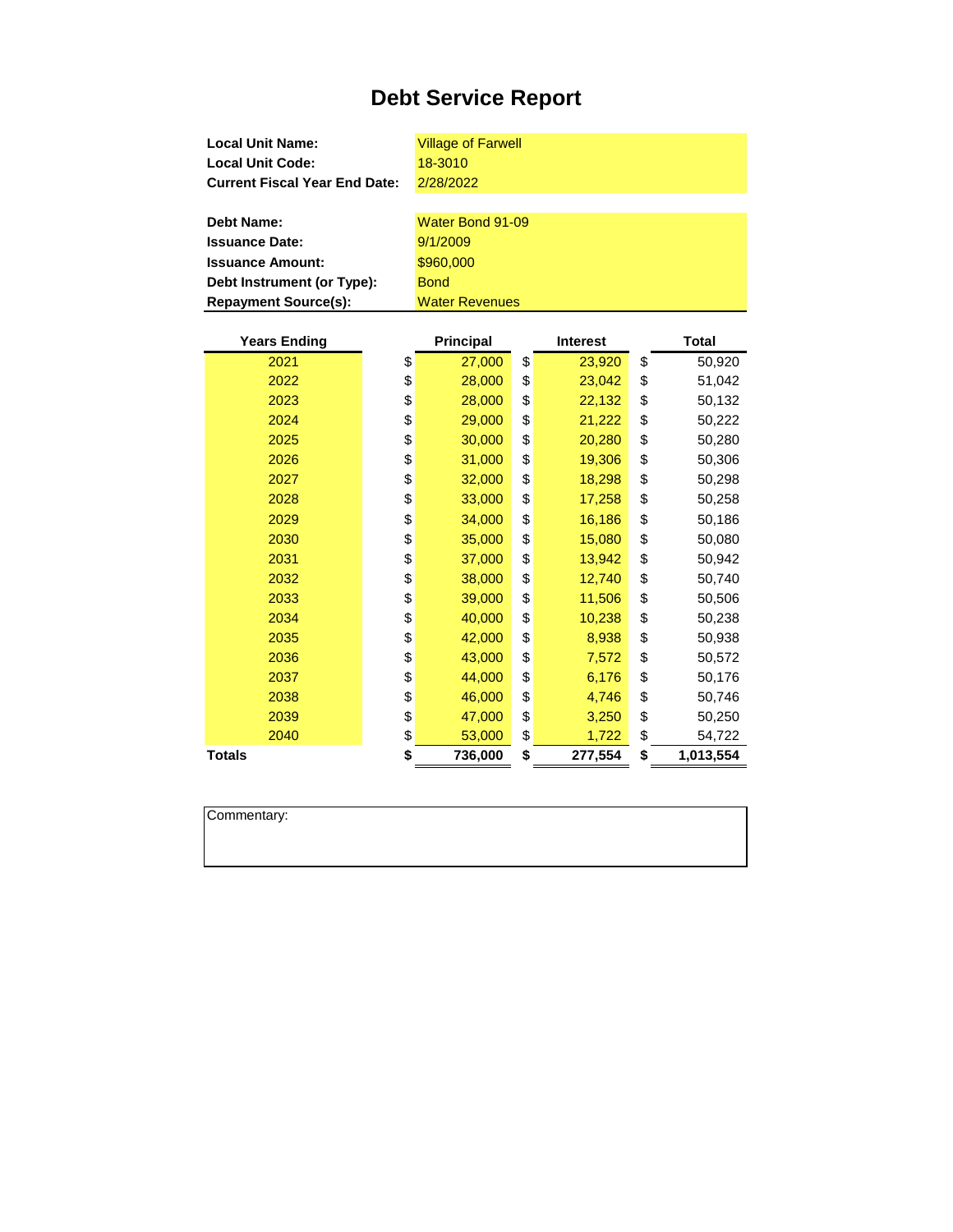| <b>Local Unit Name:</b>              |         | <b>Village of Farwell</b> |    |                 |    |              |  |  |
|--------------------------------------|---------|---------------------------|----|-----------------|----|--------------|--|--|
| <b>Local Unit Code:</b>              | 18-3010 |                           |    |                 |    |              |  |  |
| <b>Current Fiscal Year End Date:</b> |         | 2/28/2022                 |    |                 |    |              |  |  |
|                                      |         |                           |    |                 |    |              |  |  |
| <b>Debt Name:</b>                    |         | Water Bond 91-09          |    |                 |    |              |  |  |
| <b>Issuance Date:</b>                |         | 9/1/2009                  |    |                 |    |              |  |  |
| <b>Issuance Amount:</b>              |         | \$960,000                 |    |                 |    |              |  |  |
| Debt Instrument (or Type):           |         | <b>Bond</b>               |    |                 |    |              |  |  |
| <b>Repayment Source(s):</b>          |         | <b>Water Revenues</b>     |    |                 |    |              |  |  |
|                                      |         |                           |    |                 |    |              |  |  |
| <b>Years Ending</b>                  |         | <b>Principal</b>          |    | <b>Interest</b> |    | <b>Total</b> |  |  |
| 2021                                 | \$      | 27,000                    | \$ | 23,920          | \$ | 50,920       |  |  |
| 2022                                 | \$      | 28,000                    | \$ | 23,042          | \$ | 51,042       |  |  |
| 2023                                 | \$      | 28,000                    | \$ | 22,132          | \$ | 50,132       |  |  |
| 2024                                 | \$      | 29,000                    | \$ | 21,222          | \$ | 50,222       |  |  |
| 2025                                 | \$      | 30,000                    | \$ | 20,280          | \$ | 50,280       |  |  |
| 2026                                 | \$      | 31,000                    | \$ | 19,306          | \$ | 50,306       |  |  |
| 2027                                 | \$      | 32,000                    | \$ | 18,298          | \$ | 50,298       |  |  |
| 2028                                 | \$      | 33,000                    | \$ | 17,258          | \$ | 50,258       |  |  |
| 2029                                 | \$      | 34,000                    | \$ | 16,186          | \$ | 50,186       |  |  |
| 2030                                 | \$      | 35,000                    | \$ | 15,080          | \$ | 50,080       |  |  |
| 2031                                 | \$      | 37,000                    | \$ | 13,942          | \$ | 50,942       |  |  |
| 2032                                 | \$      | 38,000                    | \$ | 12,740          | \$ | 50,740       |  |  |
| 2033                                 | \$      | 39,000                    | \$ | 11,506          | \$ | 50,506       |  |  |
| 2034                                 | \$      | 40,000                    | \$ | 10,238          | \$ | 50,238       |  |  |

**\$** 42,000 \$ 8,938 \$ 50,938 **\$** 43,000 \$ 7,572 \$ 50,572 \$ 44,000 \$ 6,176 \$ 50,176 **\$** 46,000 \$ 4,746 \$ 50,746 \$ 47,000 \$ 3,250 \$ 50,250 2040 \$ 53,000 \$ 1,722 \$ 54,722

**Totals \$ 736,000 \$ 277,554 \$ 1,013,554**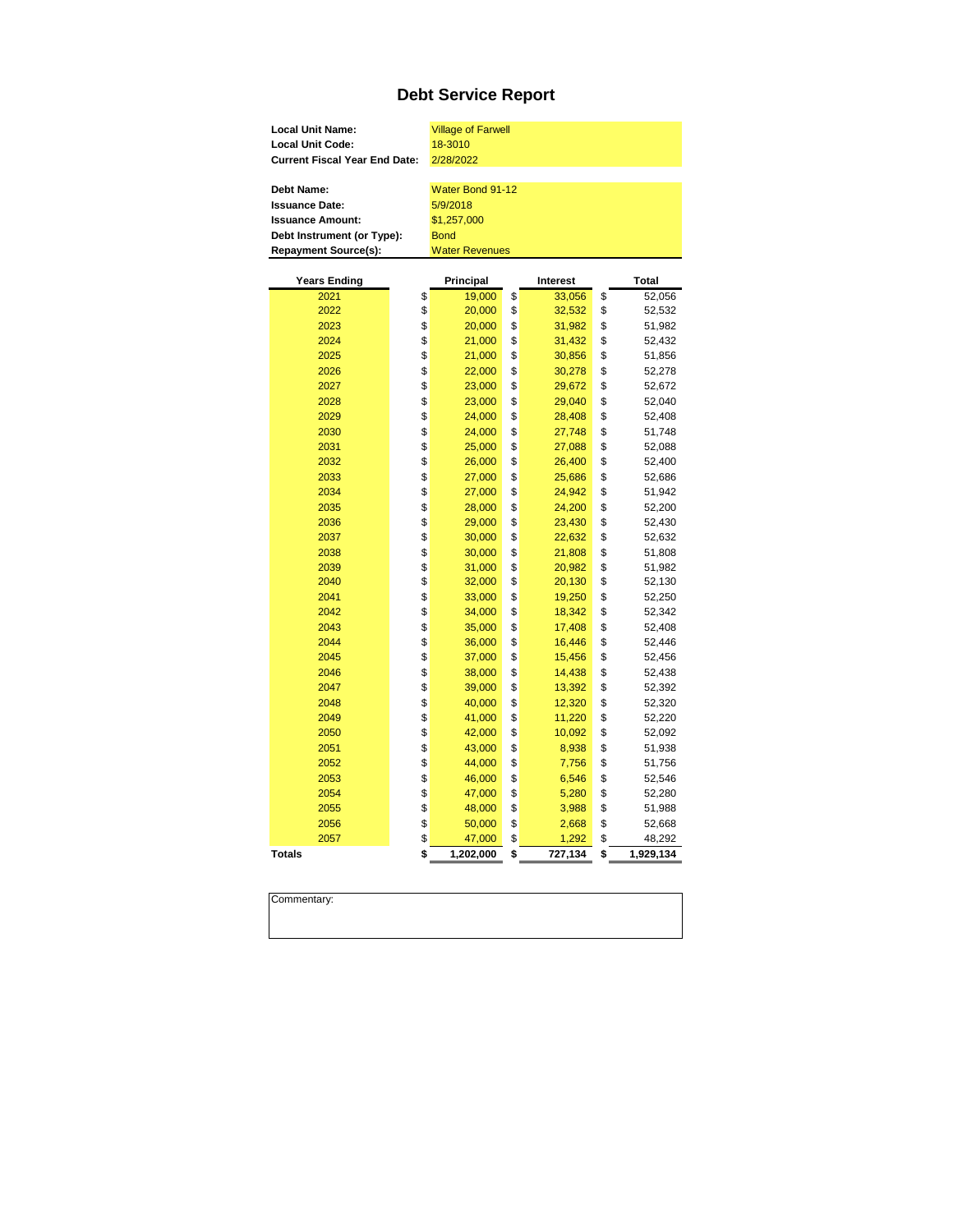| <b>Local Unit Name:</b>              | <b>Village of Farwell</b> |                 |                 |
|--------------------------------------|---------------------------|-----------------|-----------------|
| <b>Local Unit Code:</b>              | 18-3010                   |                 |                 |
| <b>Current Fiscal Year End Date:</b> | 2/28/2022                 |                 |                 |
|                                      |                           |                 |                 |
| <b>Debt Name:</b>                    | Water Bond 91-12          |                 |                 |
| <b>Issuance Date:</b>                | 5/9/2018                  |                 |                 |
| <b>Issuance Amount:</b>              | \$1,257,000               |                 |                 |
| Debt Instrument (or Type):           | <b>Bond</b>               |                 |                 |
| <b>Repayment Source(s):</b>          | <b>Water Revenues</b>     |                 |                 |
|                                      |                           |                 |                 |
| <b>Years Ending</b>                  | Principal                 | <b>Interest</b> | Total           |
| 2021                                 | \$<br>19,000              | \$<br>33,056    | \$<br>52,056    |
| 2022                                 | \$<br>20,000              | \$<br>32,532    | \$<br>52,532    |
| 2023                                 | \$<br>20,000              | \$<br>31,982    | \$<br>51,982    |
| 2024                                 | \$<br>21,000              | \$<br>31,432    | \$<br>52,432    |
| 2025                                 | \$<br>21,000              | \$<br>30,856    | \$<br>51,856    |
| 2026                                 | \$<br>22,000              | \$<br>30,278    | \$<br>52,278    |
| 2027                                 | \$<br>23,000              | \$<br>29,672    | \$<br>52,672    |
| 2028                                 | \$<br>23,000              | \$<br>29,040    | \$<br>52,040    |
| 2029                                 | \$<br>24,000              | \$<br>28,408    | \$<br>52,408    |
| 2030                                 | \$<br>24,000              | \$<br>27,748    | \$<br>51,748    |
| 2031                                 | \$<br>25,000              | \$<br>27,088    | \$<br>52,088    |
| 2032                                 | \$<br>26,000              | \$<br>26,400    | \$<br>52,400    |
| 2033                                 | \$<br>27,000              | \$<br>25,686    | \$<br>52,686    |
| 2034                                 | \$<br>27,000              | \$<br>24,942    | \$<br>51,942    |
| 2035                                 | \$<br>28,000              | \$<br>24,200    | \$<br>52,200    |
| 2036                                 | \$<br>29,000              | \$<br>23,430    | \$<br>52,430    |
| 2037                                 | \$<br>30,000              | \$<br>22,632    | \$<br>52,632    |
| 2038                                 | \$<br>30,000              | \$<br>21,808    | \$<br>51,808    |
| 2039                                 | \$<br>31,000              | \$<br>20,982    | \$<br>51,982    |
| 2040                                 | \$<br>32,000              | \$<br>20,130    | \$<br>52,130    |
| 2041                                 | \$<br>33,000              | \$<br>19,250    | \$<br>52,250    |
| 2042                                 | \$<br>34,000              | \$<br>18,342    | \$<br>52,342    |
| 2043                                 | \$<br>35,000              | \$<br>17,408    | \$<br>52,408    |
| 2044                                 | \$<br>36,000              | \$<br>16,446    | \$<br>52,446    |
| 2045                                 | \$<br>37,000              | \$<br>15,456    | \$<br>52,456    |
| 2046                                 | \$<br>38,000              | \$<br>14,438    | \$<br>52,438    |
| 2047                                 | \$<br>39,000              | \$<br>13,392    | \$<br>52,392    |
| 2048                                 | \$<br>40,000              | \$<br>12,320    | \$<br>52,320    |
| 2049                                 | \$<br>41,000              | \$<br>11,220    | \$<br>52,220    |
| 2050                                 | \$<br>42,000              | \$<br>10,092    | \$<br>52,092    |
| 2051                                 | \$<br>43,000              | \$<br>8,938     | \$<br>51,938    |
| 2052                                 | \$<br>44,000              | \$<br>7,756     | \$<br>51,756    |
| 2053                                 | \$<br>46,000              | \$<br>6,546     | \$<br>52,546    |
| 2054                                 | \$<br>47,000              | \$<br>5,280     | \$<br>52,280    |
| 2055                                 | \$<br>48,000              | \$<br>3,988     | \$<br>51,988    |
| 2056                                 | \$<br>50,000              | \$<br>2,668     | \$<br>52,668    |
| 2057                                 | \$<br>47,000              | \$<br>1,292     | \$<br>48,292    |
| <b>Totals</b>                        | \$<br>1,202,000           | \$<br>727,134   | \$<br>1,929,134 |
|                                      |                           |                 |                 |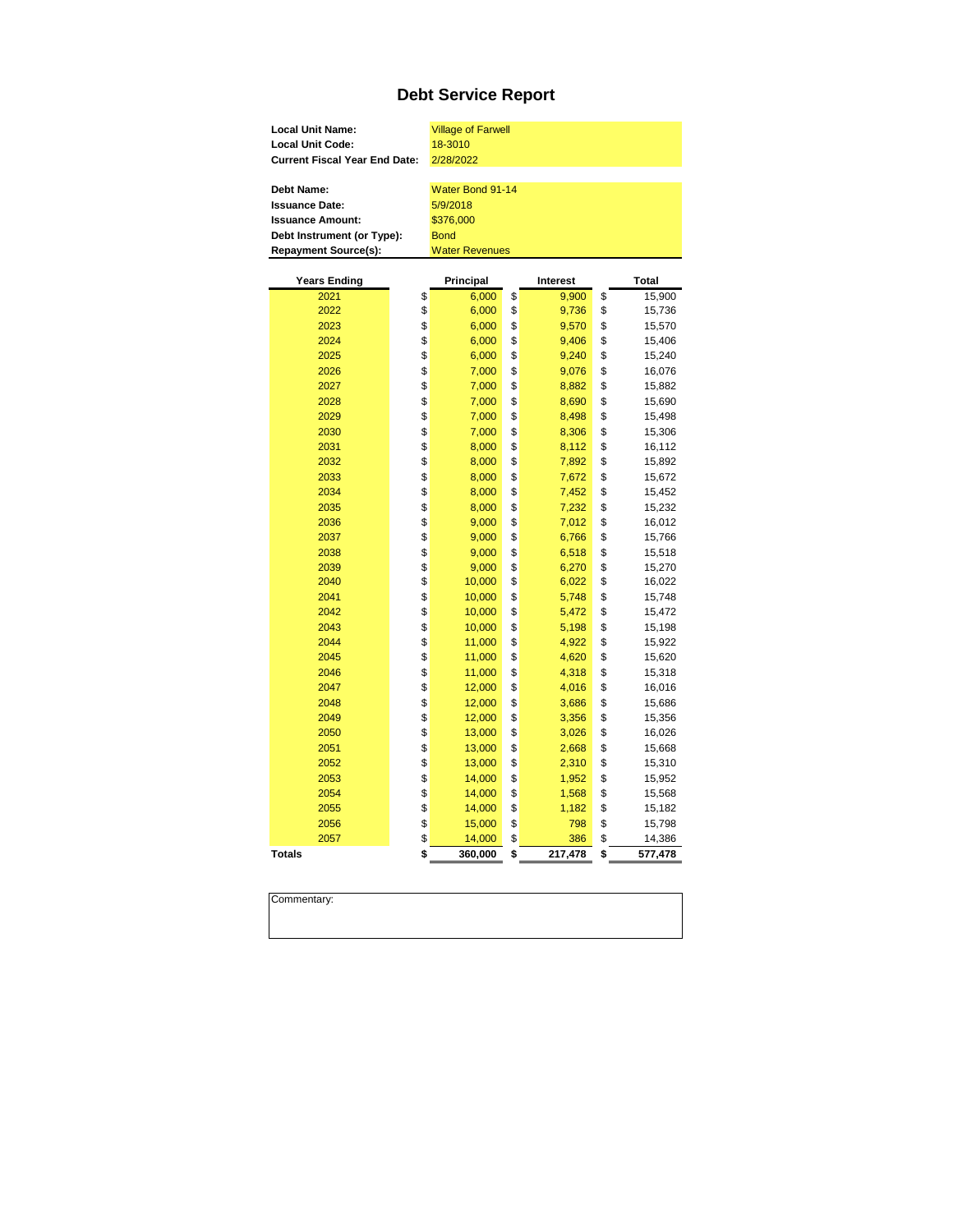| <b>Local Unit Name:</b>              |         | <b>Village of Farwell</b> |                 |               |
|--------------------------------------|---------|---------------------------|-----------------|---------------|
| <b>Local Unit Code:</b>              | 18-3010 |                           |                 |               |
| <b>Current Fiscal Year End Date:</b> |         | 2/28/2022                 |                 |               |
|                                      |         |                           |                 |               |
| <b>Debt Name:</b>                    |         | Water Bond 91-14          |                 |               |
| <b>Issuance Date:</b>                |         | 5/9/2018                  |                 |               |
| <b>Issuance Amount:</b>              |         | \$376,000                 |                 |               |
| Debt Instrument (or Type):           |         | <b>Bond</b>               |                 |               |
| <b>Repayment Source(s):</b>          |         | <b>Water Revenues</b>     |                 |               |
|                                      |         |                           |                 |               |
| <b>Years Ending</b>                  |         | Principal                 | <b>Interest</b> | Total         |
| 2021                                 | \$      | 6,000                     | \$<br>9,900     | \$<br>15,900  |
| 2022                                 | \$      | 6,000                     | \$<br>9,736     | \$<br>15,736  |
| 2023                                 | \$      | 6,000                     | \$<br>9,570     | \$<br>15,570  |
| 2024                                 | \$      | 6,000                     | \$<br>9,406     | \$<br>15,406  |
| 2025                                 | \$      | 6,000                     | \$<br>9,240     | \$<br>15,240  |
| 2026                                 | \$      | 7,000                     | \$<br>9,076     | \$<br>16,076  |
| 2027                                 | \$      | 7,000                     | \$<br>8,882     | \$<br>15,882  |
| 2028                                 | \$      | 7,000                     | \$<br>8,690     | \$<br>15,690  |
| 2029                                 | \$      | 7,000                     | \$<br>8,498     | \$<br>15,498  |
| 2030                                 | \$      | 7,000                     | \$<br>8,306     | \$<br>15,306  |
| 2031                                 | \$      | 8,000                     | \$<br>8,112     | \$<br>16,112  |
| 2032                                 | \$      | 8,000                     | \$<br>7,892     | \$<br>15,892  |
| 2033                                 | \$      | 8,000                     | \$<br>7,672     | \$<br>15,672  |
| 2034                                 | \$      | 8,000                     | \$<br>7,452     | \$<br>15,452  |
| 2035                                 | \$      | 8,000                     | \$<br>7,232     | \$<br>15,232  |
| 2036                                 | \$      | 9,000                     | \$<br>7,012     | \$<br>16,012  |
| 2037                                 | \$      | 9,000                     | \$<br>6,766     | \$<br>15,766  |
| 2038                                 | \$      | 9,000                     | \$<br>6,518     | \$<br>15,518  |
| 2039                                 | \$      | 9,000                     | \$<br>6,270     | \$<br>15,270  |
| 2040                                 | \$      | 10,000                    | \$<br>6,022     | \$<br>16,022  |
| 2041                                 | \$      | 10,000                    | \$<br>5,748     | \$<br>15,748  |
| 2042                                 | \$      | 10,000                    | \$<br>5,472     | \$<br>15,472  |
| 2043                                 | \$      | 10,000                    | \$<br>5,198     | \$<br>15,198  |
| 2044                                 | \$      | 11,000                    | \$<br>4,922     | \$<br>15,922  |
| 2045                                 | \$      | 11,000                    | \$<br>4,620     | \$<br>15,620  |
| 2046                                 | \$      | 11,000                    | \$<br>4,318     | \$<br>15,318  |
| 2047                                 | \$      | 12,000                    | \$<br>4,016     | \$<br>16,016  |
| 2048                                 | \$      | 12,000                    | \$<br>3,686     | \$<br>15,686  |
| 2049                                 | \$      | 12,000                    | \$<br>3,356     | \$<br>15,356  |
| 2050                                 | \$      | 13,000                    | \$<br>3,026     | \$<br>16,026  |
| 2051                                 | \$      | 13,000                    | \$<br>2,668     | \$<br>15,668  |
| 2052                                 | \$      | 13,000                    | \$<br>2,310     | \$<br>15,310  |
| 2053                                 | \$      | 14,000                    | \$<br>1,952     | \$<br>15,952  |
| 2054                                 | \$      | 14,000                    | \$<br>1,568     | \$<br>15,568  |
| 2055                                 | \$      | 14,000                    | \$<br>1,182     | \$<br>15,182  |
| 2056                                 | \$      | 15,000                    | \$<br>798       | \$<br>15,798  |
| 2057                                 | \$      | 14,000                    | \$<br>386       | \$<br>14,386  |
| <b>Totals</b>                        | \$      | 360,000                   | \$<br>217,478   | \$<br>577,478 |
|                                      |         |                           |                 |               |